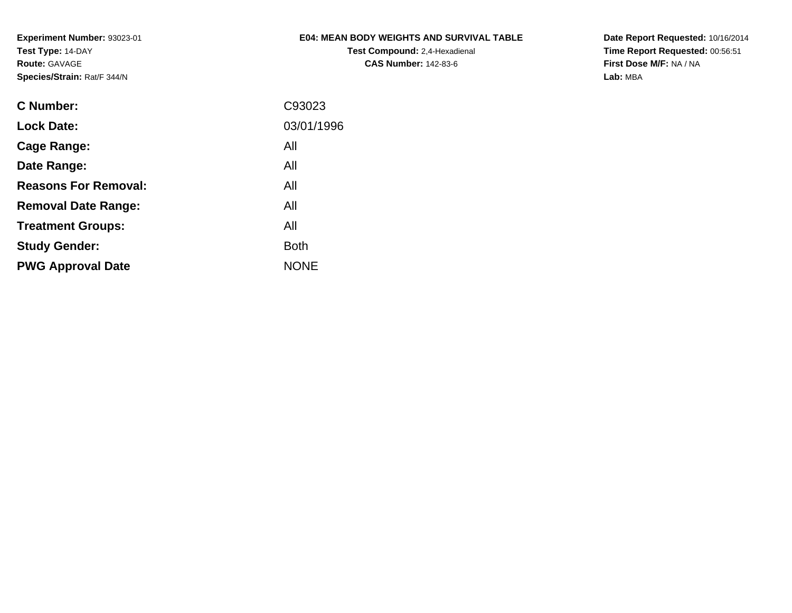## **E04: MEAN BODY WEIGHTS AND SURVIVAL TABLE**

**Test Compound:** 2,4-Hexadienal **CAS Number:** 142-83-6

**Date Report Requested:** 10/16/2014 **Time Report Requested:** 00:56:51**First Dose M/F:** NA / NA**Lab:** MBA

| C Number:                   | C93023      |
|-----------------------------|-------------|
| <b>Lock Date:</b>           | 03/01/1996  |
| Cage Range:                 | All         |
| Date Range:                 | All         |
| <b>Reasons For Removal:</b> | All         |
| <b>Removal Date Range:</b>  | All         |
| <b>Treatment Groups:</b>    | All         |
| <b>Study Gender:</b>        | <b>Both</b> |
| <b>PWG Approval Date</b>    | <b>NONE</b> |
|                             |             |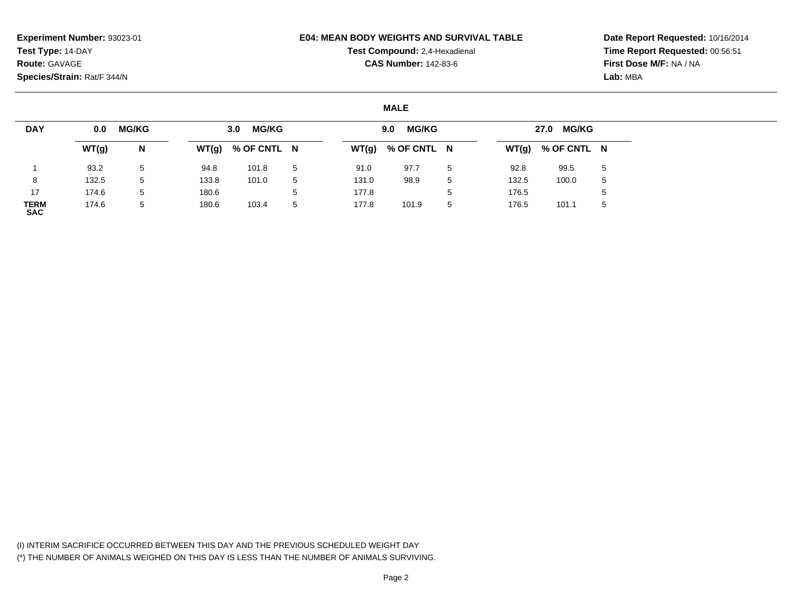#### **E04: MEAN BODY WEIGHTS AND SURVIVAL TABLE**

## **Test Compound:** 2,4-Hexadienal **CAS Number:** 142-83-6

**Date Report Requested:** 10/16/2014**Time Report Requested:** 00:56:51**First Dose M/F:** NA / NA**Lab:** MBA

### **MALE**

| <b>DAY</b>                | 0.0   | <b>MG/KG</b> |       | <b>MG/KG</b><br>3.0 |             |       | <b>MG/KG</b><br>9.0 |   |       | 27.0 MG/KG          |   |
|---------------------------|-------|--------------|-------|---------------------|-------------|-------|---------------------|---|-------|---------------------|---|
|                           | WT(g) | N            | WT(g) | % OF CNTL N         |             |       | $WT(g)$ % OF CNTL N |   |       | $WT(g)$ % OF CNTL N |   |
|                           | 93.2  | 5            | 94.8  | 101.8               | $5^{\circ}$ | 91.0  | 97.7                | 5 | 92.8  | 99.5                | 5 |
| 8                         | 132.5 | 5            | 133.8 | 101.0               | 5           | 131.0 | 98.9                | 5 | 132.5 | 100.0               | 5 |
| 17                        | 174.6 | 5            | 180.6 |                     | 5           | 177.8 |                     | b | 176.5 |                     | 5 |
| <b>TERM</b><br><b>SAC</b> | 174.6 | 5            | 180.6 | 103.4               | 5           | 177.8 | 101.9               | 5 | 176.5 | 101.1               | 5 |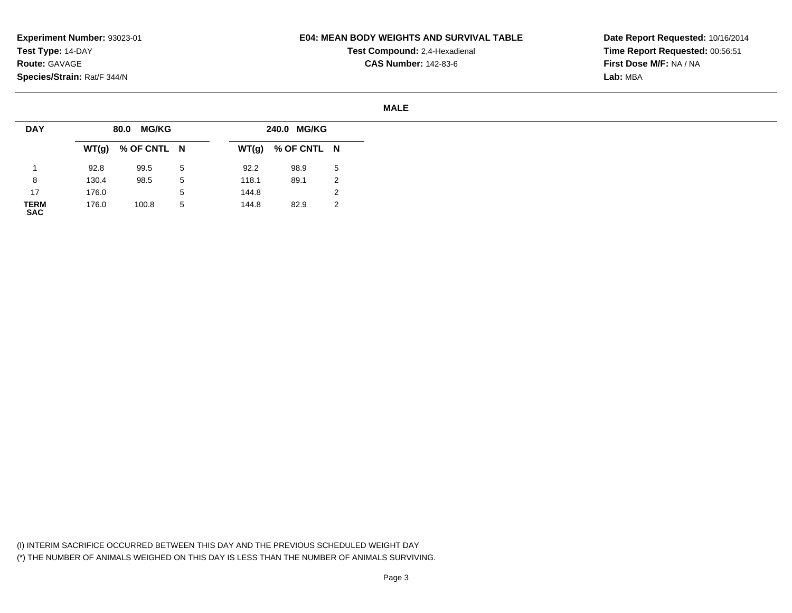### **E04: MEAN BODY WEIGHTS AND SURVIVAL TABLE**

**Test Compound:** 2,4-Hexadienal **CAS Number:** 142-83-6

**Date Report Requested:** 10/16/2014**Time Report Requested:** 00:56:51**First Dose M/F:** NA / NA**Lab:** MBA

#### **MALE**

| <b>DAY</b>          |       | MG/KG<br>80.0       |             |       | 240.0 MG/KG |    |
|---------------------|-------|---------------------|-------------|-------|-------------|----|
|                     |       | $WT(g)$ % OF CNTL N |             | WT(g) | % OF CNTL N |    |
|                     | 92.8  | 99.5                | 5           | 92.2  | 98.9        | -5 |
| 8                   | 130.4 | 98.5                | 5           | 118.1 | 89.1        | 2  |
| 17                  | 176.0 |                     | $5^{\circ}$ | 144.8 |             |    |
| <b>TERM<br/>SAC</b> | 176.0 | 100.8               | 5           | 144.8 | 82.9        | 2  |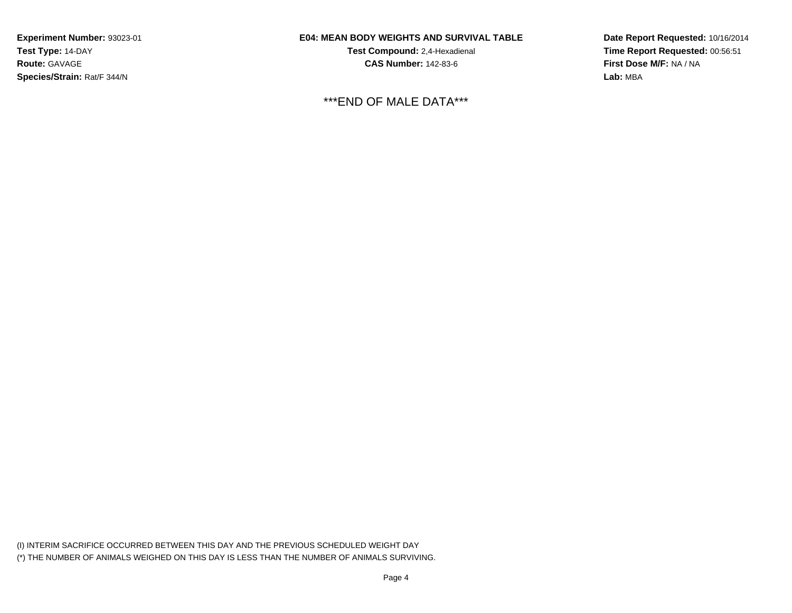### **E04: MEAN BODY WEIGHTS AND SURVIVAL TABLE**

**Test Compound:** 2,4-Hexadienal **CAS Number:** 142-83-6

\*\*\*END OF MALE DATA\*\*\*

**Date Report Requested:** 10/16/2014**Time Report Requested:** 00:56:51**First Dose M/F:** NA / NA**Lab:** MBA

(I) INTERIM SACRIFICE OCCURRED BETWEEN THIS DAY AND THE PREVIOUS SCHEDULED WEIGHT DAY(\*) THE NUMBER OF ANIMALS WEIGHED ON THIS DAY IS LESS THAN THE NUMBER OF ANIMALS SURVIVING.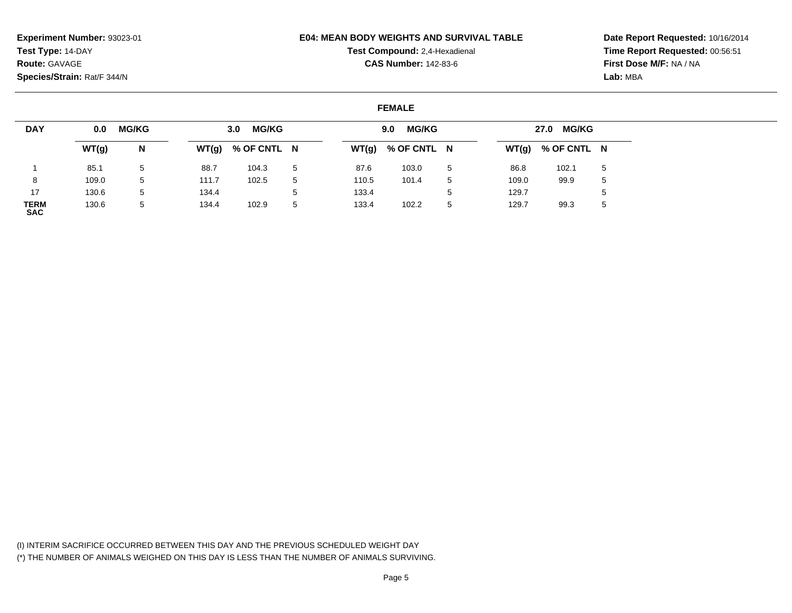#### **E04: MEAN BODY WEIGHTS AND SURVIVAL TABLE**

## **Test Compound:** 2,4-Hexadienal **CAS Number:** 142-83-6

**Date Report Requested:** 10/16/2014**Time Report Requested:** 00:56:51**First Dose M/F:** NA / NA**Lab:** MBA

### **FEMALE**

| <b>DAY</b>                | 0.0   | <b>MG/KG</b> |       | <b>MG/KG</b><br>3.0 <sub>1</sub> |             |       | <b>MG/KG</b><br>9.0 |        |       | 27.0 MG/KG          |   |
|---------------------------|-------|--------------|-------|----------------------------------|-------------|-------|---------------------|--------|-------|---------------------|---|
|                           | WT(g) | N            | WT(g) | % OF CNTL N                      |             |       | $WT(g)$ % OF CNTL N |        |       | $WT(g)$ % OF CNTL N |   |
|                           | 85.1  | 5            | 88.7  | 104.3                            | -5          | 87.6  | 103.0               | 5      | 86.8  | 102.1               | 5 |
|                           | 109.0 | 5            | 111.7 | 102.5                            | 5           | 110.5 | 101.4               | 5      | 109.0 | 99.9                | 5 |
| 17                        | 130.6 | 5            | 134.4 |                                  | $5^{\circ}$ | 133.4 |                     | Е<br>N | 129.7 |                     |   |
| <b>TERM</b><br><b>SAC</b> | 130.6 | 5            | 134.4 | 102.9                            | 5           | 133.4 | 102.2               | 5      | 129.7 | 99.3                | ১ |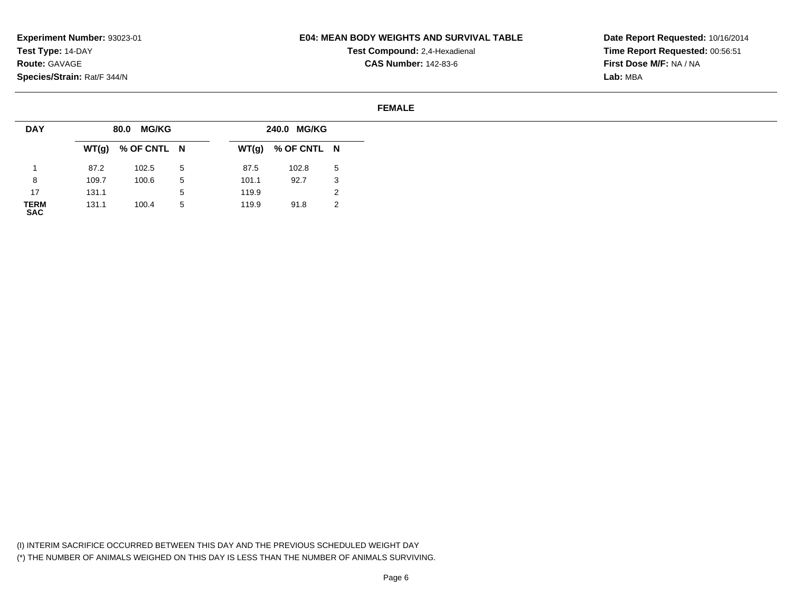### **E04: MEAN BODY WEIGHTS AND SURVIVAL TABLE**

**Test Compound:** 2,4-Hexadienal **CAS Number:** 142-83-6

**Date Report Requested:** 10/16/2014**Time Report Requested:** 00:56:51**First Dose M/F:** NA / NA**Lab:** MBA

#### **FEMALE**

| <b>DAY</b>          |       | <b>MG/KG</b><br>80.0 |   |       | 240.0 MG/KG |   |
|---------------------|-------|----------------------|---|-------|-------------|---|
|                     |       | $WT(g)$ % OF CNTL N  |   | WT(g) | % OF CNTL N |   |
|                     | 87.2  | 102.5                | 5 | 87.5  | 102.8       | 5 |
| 8                   | 109.7 | 100.6                | 5 | 101.1 | 92.7        | 3 |
| 17                  | 131.1 |                      | 5 | 119.9 |             | ∠ |
| <b>TERM<br/>SAC</b> | 131.1 | 100.4                | 5 | 119.9 | 91.8        | 2 |